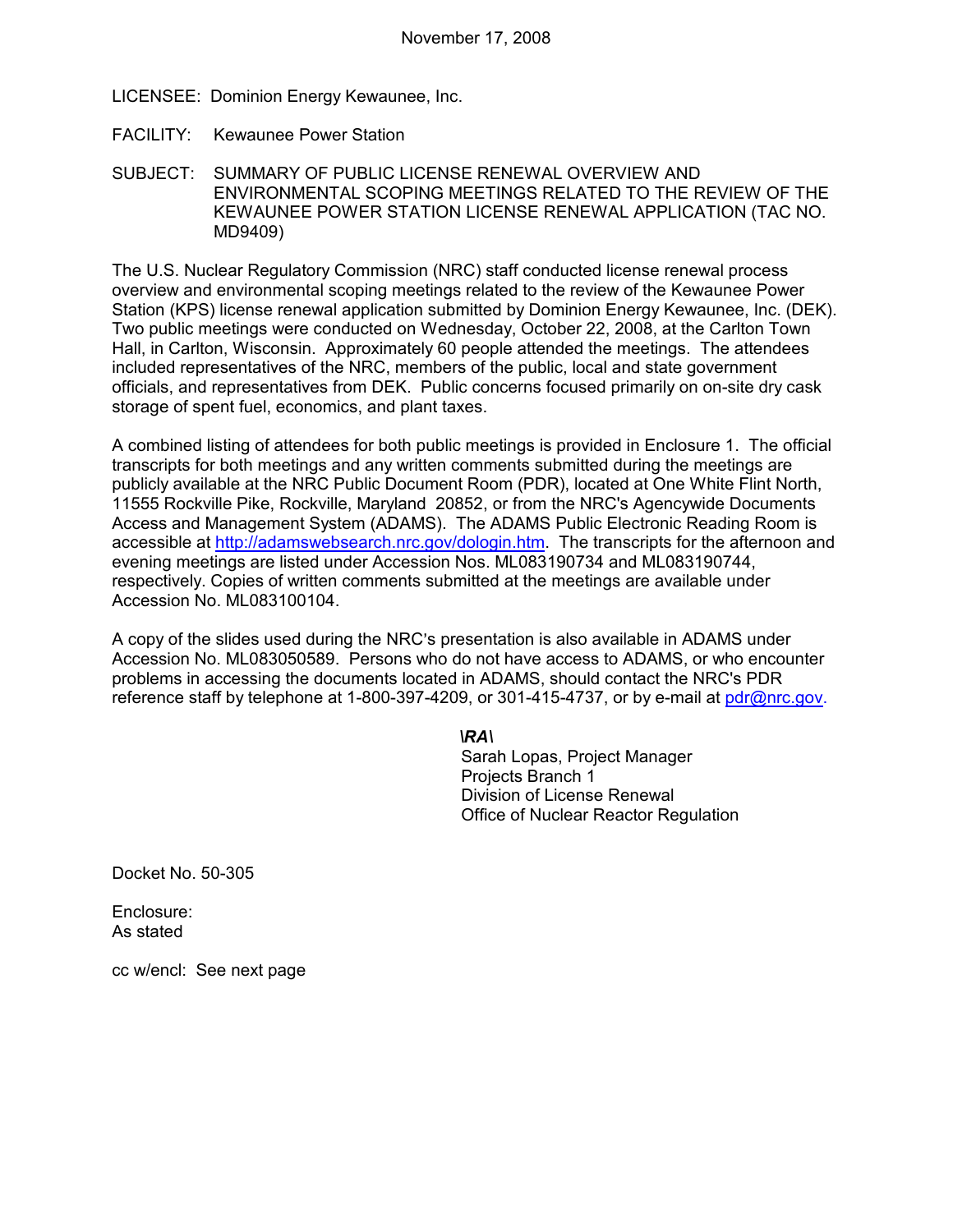LICENSEE: Dominion Energy Kewaunee, Inc.

- FACILITY: Kewaunee Power Station
- SUBJECT: SUMMARY OF PUBLIC LICENSE RENEWAL OVERVIEW AND ENVIRONMENTAL SCOPING MEETINGS RELATED TO THE REVIEW OF THE KEWAUNEE POWER STATION LICENSE RENEWAL APPLICATION (TAC NO. MD9409)

The U.S. Nuclear Regulatory Commission (NRC) staff conducted license renewal process overview and environmental scoping meetings related to the review of the Kewaunee Power Station (KPS) license renewal application submitted by Dominion Energy Kewaunee, Inc. (DEK). Two public meetings were conducted on Wednesday, October 22, 2008, at the Carlton Town Hall, in Carlton, Wisconsin. Approximately 60 people attended the meetings. The attendees included representatives of the NRC, members of the public, local and state government officials, and representatives from DEK. Public concerns focused primarily on on-site dry cask storage of spent fuel, economics, and plant taxes.

A combined listing of attendees for both public meetings is provided in Enclosure 1. The official transcripts for both meetings and any written comments submitted during the meetings are publicly available at the NRC Public Document Room (PDR), located at One White Flint North, 11555 Rockville Pike, Rockville, Maryland 20852, or from the NRC's Agencywide Documents Access and Management System (ADAMS). The ADAMS Public Electronic Reading Room is accessible at http://adamswebsearch.nrc.gov/dologin.htm. The transcripts for the afternoon and evening meetings are listed under Accession Nos. ML083190734 and ML083190744, respectively. Copies of written comments submitted at the meetings are available under Accession No. ML083100104.

A copy of the slides used during the NRC's presentation is also available in ADAMS under Accession No. ML083050589. Persons who do not have access to ADAMS, or who encounter problems in accessing the documents located in ADAMS, should contact the NRC's PDR reference staff by telephone at 1-800-397-4209, or 301-415-4737, or by e-mail at pdr@nrc.gov.

#### *\RA\*

Sarah Lopas, Project Manager Projects Branch 1 Division of License Renewal Office of Nuclear Reactor Regulation

Docket No. 50-305

Enclosure: As stated

cc w/encl: See next page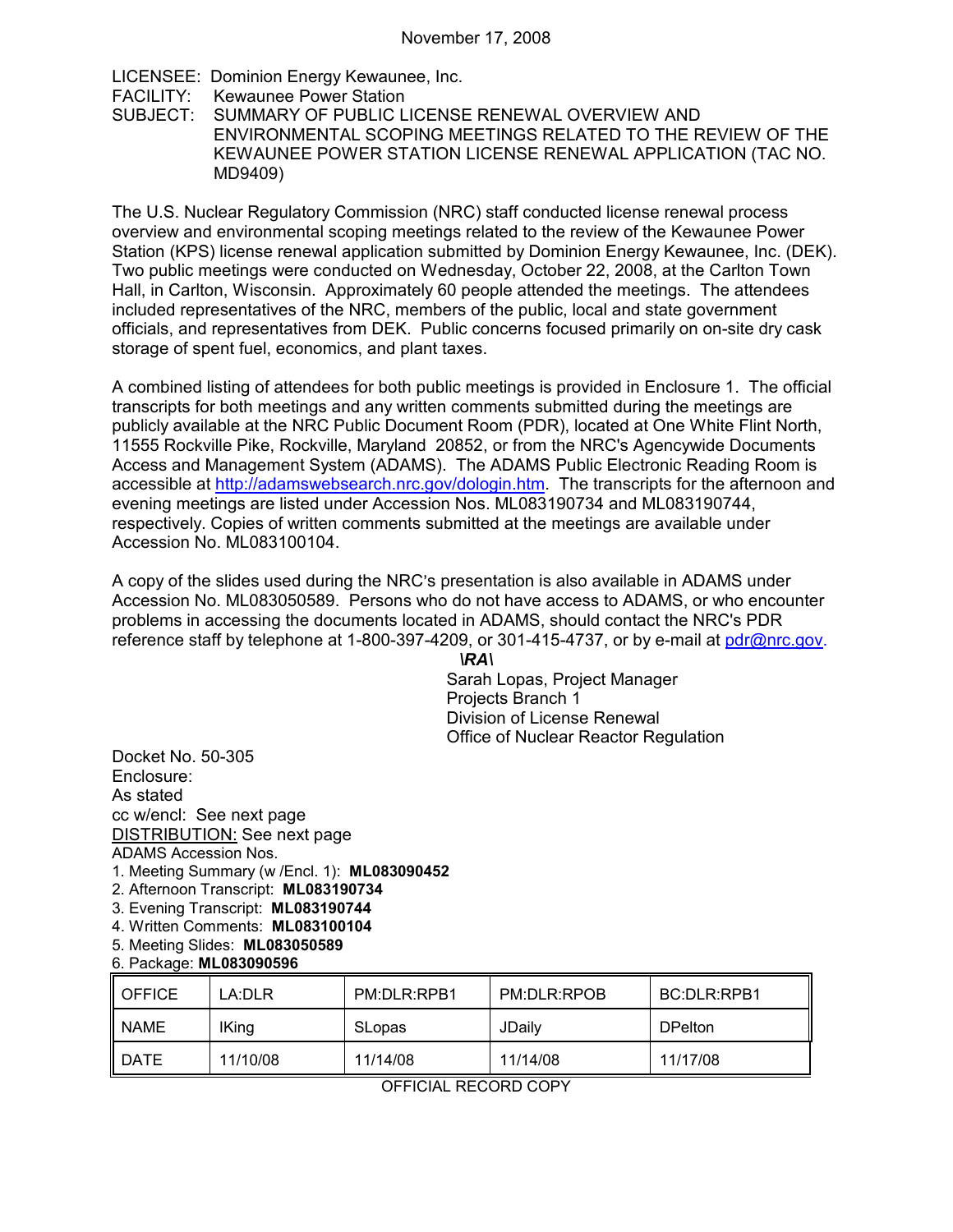LICENSEE: Dominion Energy Kewaunee, Inc. FACILITY: Kewaunee Power Station<br>SUBJECT: SUMMARY OF PUBLIC L SUMMARY OF PUBLIC LICENSE RENEWAL OVERVIEW AND ENVIRONMENTAL SCOPING MEETINGS RELATED TO THE REVIEW OF THE KEWAUNEE POWER STATION LICENSE RENEWAL APPLICATION (TAC NO. MD9409)

The U.S. Nuclear Regulatory Commission (NRC) staff conducted license renewal process overview and environmental scoping meetings related to the review of the Kewaunee Power Station (KPS) license renewal application submitted by Dominion Energy Kewaunee, Inc. (DEK). Two public meetings were conducted on Wednesday, October 22, 2008, at the Carlton Town Hall, in Carlton, Wisconsin. Approximately 60 people attended the meetings. The attendees included representatives of the NRC, members of the public, local and state government officials, and representatives from DEK. Public concerns focused primarily on on-site dry cask storage of spent fuel, economics, and plant taxes.

A combined listing of attendees for both public meetings is provided in Enclosure 1. The official transcripts for both meetings and any written comments submitted during the meetings are publicly available at the NRC Public Document Room (PDR), located at One White Flint North, 11555 Rockville Pike, Rockville, Maryland 20852, or from the NRC's Agencywide Documents Access and Management System (ADAMS). The ADAMS Public Electronic Reading Room is accessible at http://adamswebsearch.nrc.gov/dologin.htm. The transcripts for the afternoon and evening meetings are listed under Accession Nos. ML083190734 and ML083190744, respectively. Copies of written comments submitted at the meetings are available under Accession No. ML083100104.

A copy of the slides used during the NRC's presentation is also available in ADAMS under Accession No. ML083050589. Persons who do not have access to ADAMS, or who encounter problems in accessing the documents located in ADAMS, should contact the NRC's PDR reference staff by telephone at 1-800-397-4209, or 301-415-4737, or by e-mail at pdr@nrc.gov.

> *\RA\*  Sarah Lopas, Project Manager Projects Branch 1 Division of License Renewal Office of Nuclear Reactor Regulation

Docket No. 50-305 Enclosure: As stated cc w/encl: See next page DISTRIBUTION: See next page ADAMS Accession Nos.

- 1. Meeting Summary (w /Encl. 1): **ML083090452**
- 2. Afternoon Transcript: **ML083190734**
- 3. Evening Transcript: **ML083190744**
- 4. Written Comments: **ML083100104**
- 5. Meeting Slides: **ML083050589**

#### 6. Package: **ML083090596**

| <b>OFFICE</b> | LA:DLR       | PM:DLR:RPB1 | PM:DLR:RPOB | BC:DLR:RPB1    |
|---------------|--------------|-------------|-------------|----------------|
| <b>NAME</b>   | <b>IKing</b> | SLopas      | JDaily      | <b>DPelton</b> |
| <b>DATE</b>   | 11/10/08     | 11/14/08    | 11/14/08    | 11/17/08       |

OFFICIAL RECORD COPY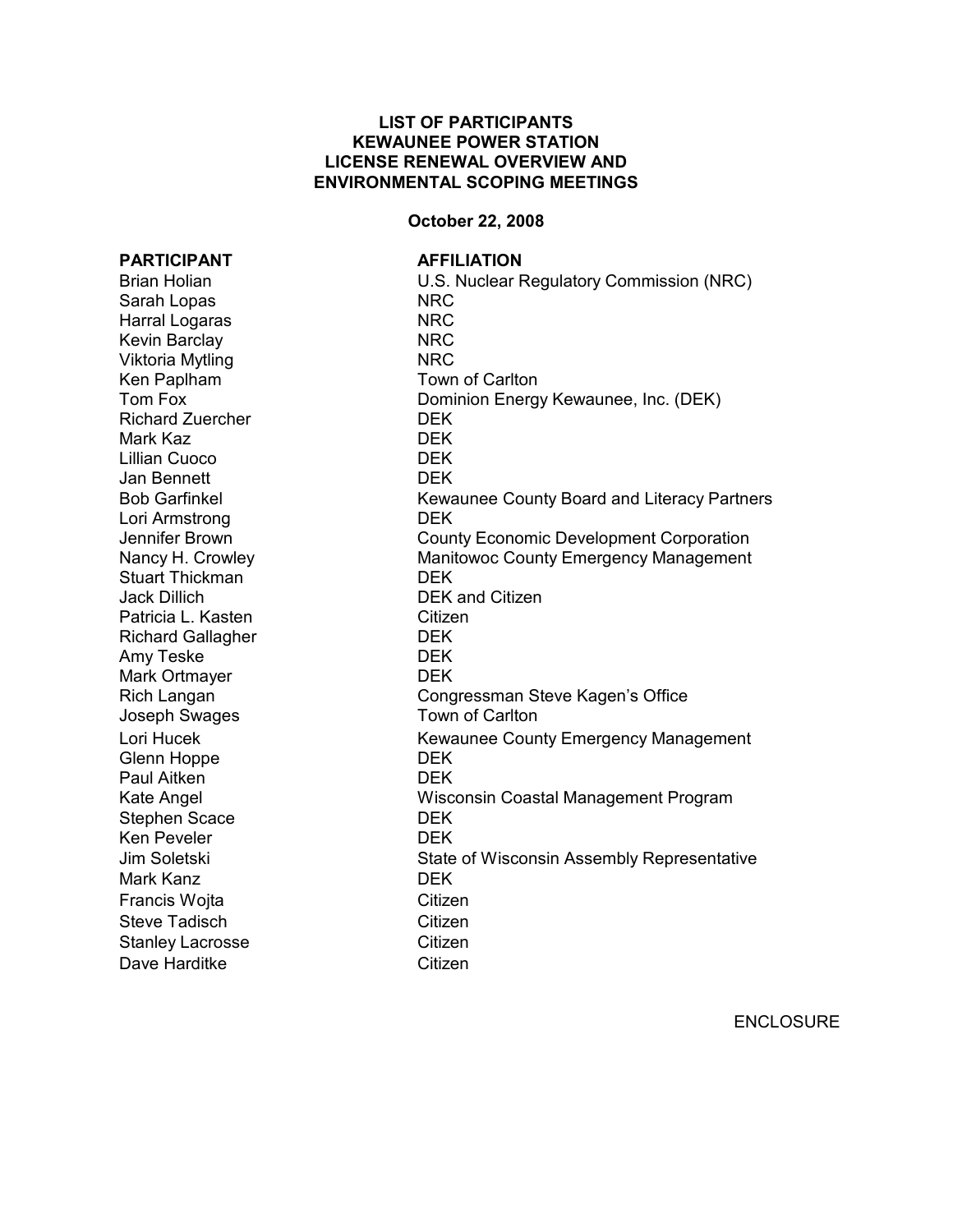## **LIST OF PARTICIPANTS KEWAUNEE POWER STATION LICENSE RENEWAL OVERVIEW AND ENVIRONMENTAL SCOPING MEETINGS**

## **October 22, 2008**

#### **PARTICIPANT AFFILIATION**

Sarah Lopas NRC Harral Logaras NRC Kevin Barclay NRC Viktoria Mytling NRC Ken Paplham Town of Carlton Richard Zuercher **DEK** Mark Kaz DEK Lillian Cuoco DEK Jan Bennett DEK Lori Armstrong DEK Stuart Thickman DEK Jack Dillich DEK and Citizen Patricia L. Kasten Citizen Richard Gallagher DEK Amy Teske DEK Mark Ortmayer **DEK** Joseph Swages Town of Carlton Glenn Hoppe DEK Paul Aitken DEK Stephen Scace DEK Ken Peveler **DEK** Mark Kanz DEK Francis Wojta Citizen Steve Tadisch Citizen Stanley Lacrosse Citizen Dave Harditke Citizen

Brian Holian U.S. Nuclear Regulatory Commission (NRC) Tom Fox Dominion Energy Kewaunee, Inc. (DEK) Bob Garfinkel **Kewaunee County Board and Literacy Partners** Jennifer Brown County Economic Development Corporation Nancy H. Crowley **Manitowoc County Emergency Management** Rich Langan Congressman Steve Kagen's Office Lori Hucek **Kewaunee County Emergency Management** Kate Angel Wisconsin Coastal Management Program Jim Soletski State of Wisconsin Assembly Representative

ENCLOSURE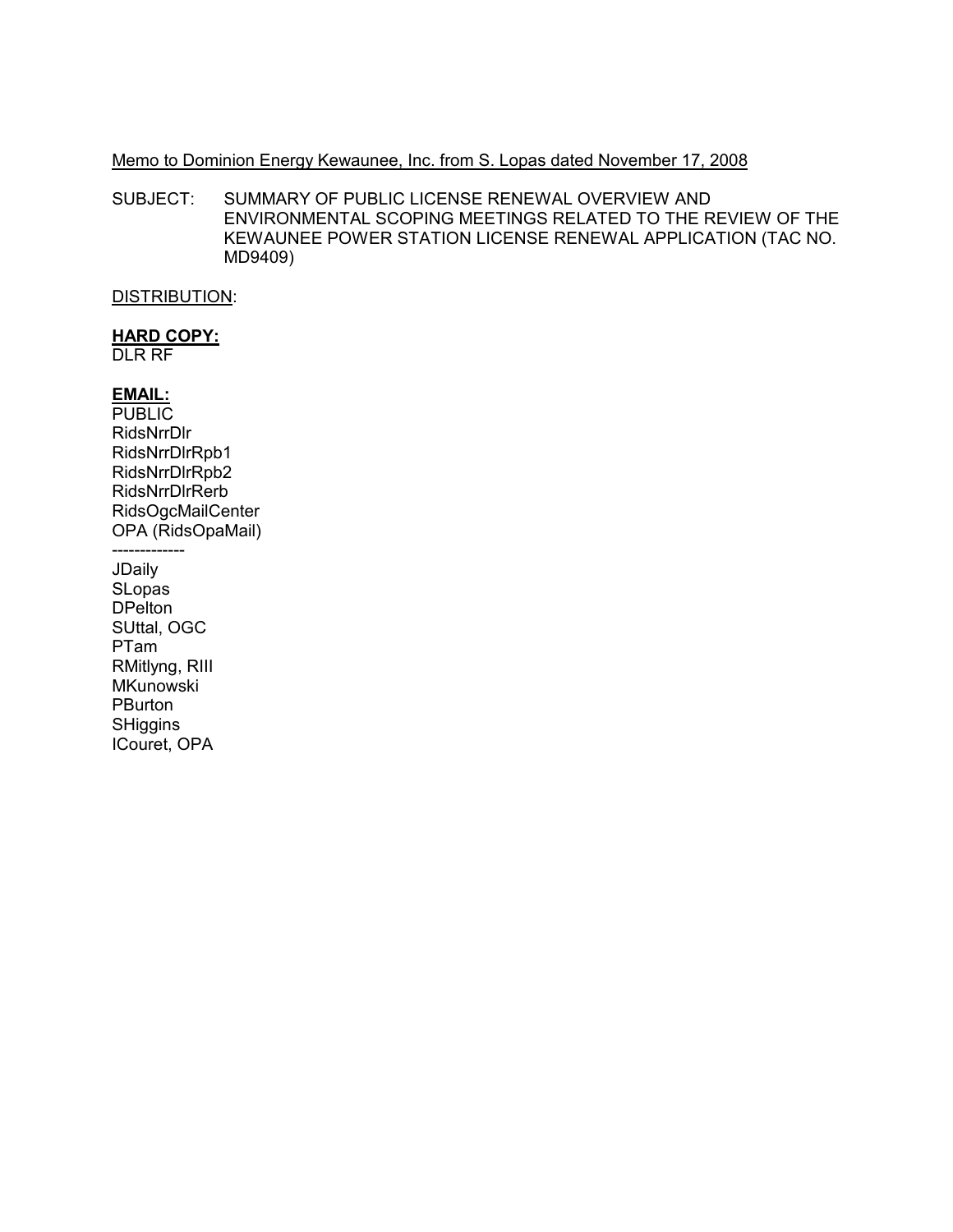## Memo to Dominion Energy Kewaunee, Inc. from S. Lopas dated November 17, 2008

SUBJECT: SUMMARY OF PUBLIC LICENSE RENEWAL OVERVIEW AND ENVIRONMENTAL SCOPING MEETINGS RELATED TO THE REVIEW OF THE KEWAUNEE POWER STATION LICENSE RENEWAL APPLICATION (TAC NO. MD9409)

## **DISTRIBUTION:**

# **HARD COPY:**

**DLR RF** 

# EMAIL:

**PUBLIC** RidsNrrDlr RidsNrrDIrRpb1 RidsNrrDIrRpb2 RidsNrrDIrRerb RidsOgcMailCenter OPA (RidsOpaMail) -------------

JDaily SLopas **DPelton** SUttal, OGC PTam RMitlyng, RIII **MKunowski** PBurton SHiggins ICouret, OPA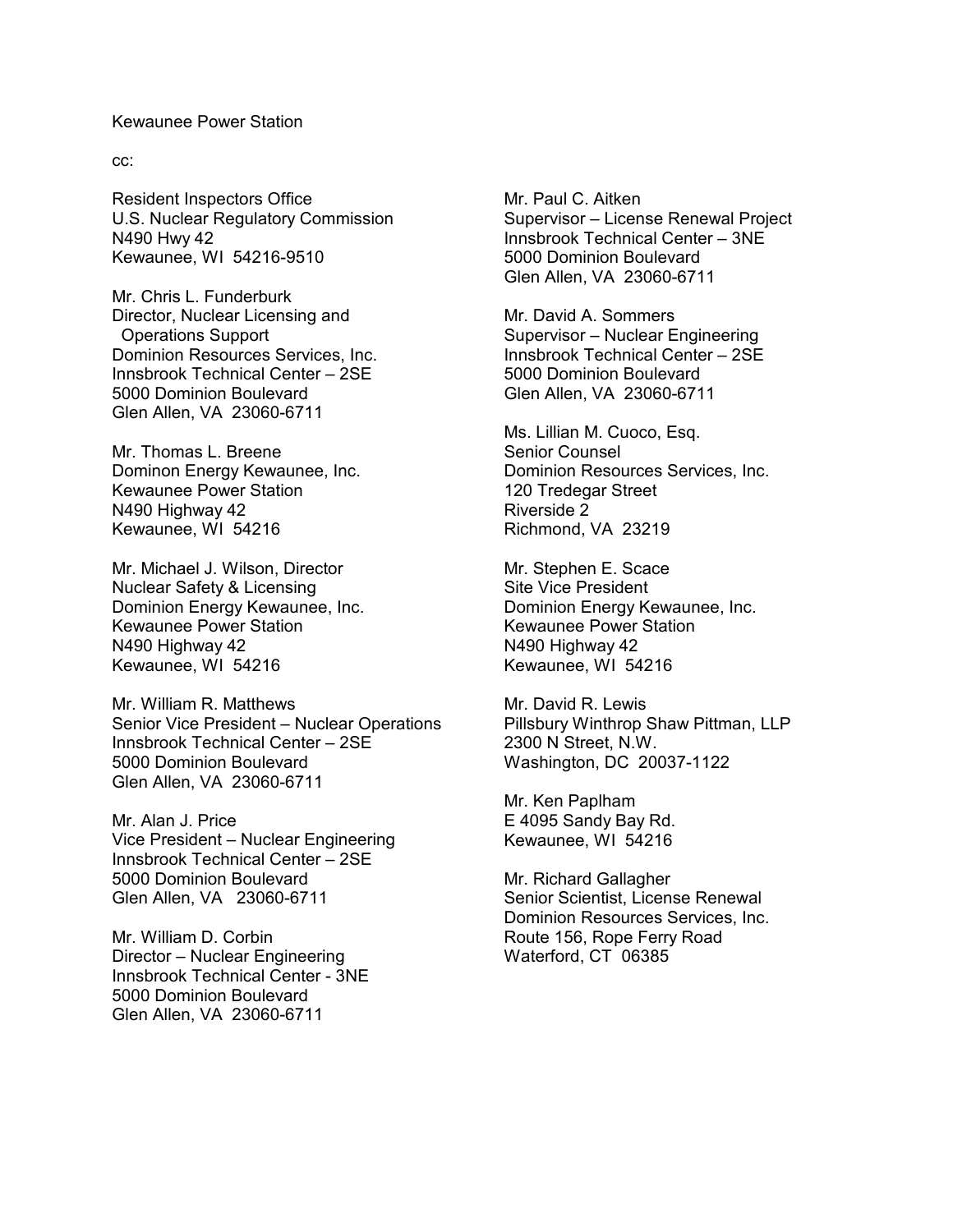#### Kewaunee Power Station

cc:

Resident Inspectors Office U.S. Nuclear Regulatory Commission N490 Hwy 42 Kewaunee, WI 54216-9510

Mr. Chris L. Funderburk Director, Nuclear Licensing and Operations Support Dominion Resources Services, Inc. Innsbrook Technical Center – 2SE 5000 Dominion Boulevard Glen Allen, VA 23060-6711

Mr. Thomas L. Breene Dominon Energy Kewaunee, Inc. Kewaunee Power Station N490 Highway 42 Kewaunee, WI 54216

Mr. Michael J. Wilson, Director Nuclear Safety & Licensing Dominion Energy Kewaunee, Inc. Kewaunee Power Station N490 Highway 42 Kewaunee, WI 54216

Mr. William R. Matthews Senior Vice President – Nuclear Operations Innsbrook Technical Center – 2SE 5000 Dominion Boulevard Glen Allen, VA 23060-6711

Mr. Alan J. Price Vice President – Nuclear Engineering Innsbrook Technical Center – 2SE 5000 Dominion Boulevard Glen Allen, VA 23060-6711

Mr. William D. Corbin Director – Nuclear Engineering Innsbrook Technical Center - 3NE 5000 Dominion Boulevard Glen Allen, VA 23060-6711

Mr. Paul C. Aitken Supervisor – License Renewal Project Innsbrook Technical Center – 3NE 5000 Dominion Boulevard Glen Allen, VA 23060-6711

Mr. David A. Sommers Supervisor – Nuclear Engineering Innsbrook Technical Center – 2SE 5000 Dominion Boulevard Glen Allen, VA 23060-6711

Ms. Lillian M. Cuoco, Esq. Senior Counsel Dominion Resources Services, Inc. 120 Tredegar Street Riverside 2 Richmond, VA 23219

Mr. Stephen E. Scace Site Vice President Dominion Energy Kewaunee, Inc. Kewaunee Power Station N490 Highway 42 Kewaunee, WI 54216

Mr. David R. Lewis Pillsbury Winthrop Shaw Pittman, LLP 2300 N Street, N.W. Washington, DC 20037-1122

Mr. Ken Paplham E 4095 Sandy Bay Rd. Kewaunee, WI 54216

Mr. Richard Gallagher Senior Scientist, License Renewal Dominion Resources Services, Inc. Route 156, Rope Ferry Road Waterford, CT 06385